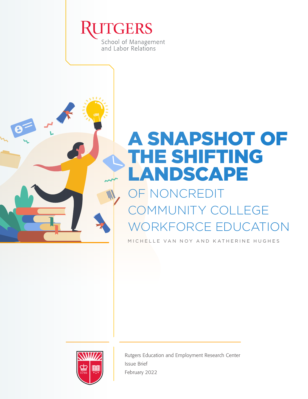



## OF NONCREDIT COMMUNITY COLLEGE WORKFORCE EDUCATION

MICHELLE VAN NOY AND KATHERINE HUGHES



Rutgers Education and Employment Research Center Issue Brief February 2022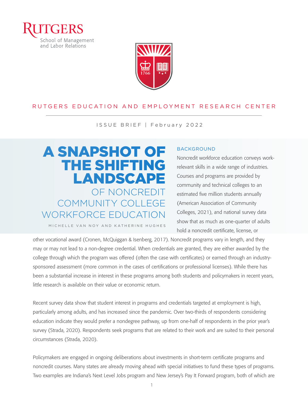



#### RUTGERS EDUCATION AND EMPLOYMENT RESEARCH CENTER

ISSUE BRIEF | February 2022

## A SNAPSHOT OF THE SHIFTING LANDSCAPE OF NONCREDIT COMMUNITY COLLEGE WORKFORCE EDUCATION

#### BACKGROUND

Noncredit workforce education conveys workrelevant skills in a wide range of industries. Courses and programs are provided by community and technical colleges to an estimated five million students annually (American Association of Community Colleges, 2021), and national survey data show that as much as one-quarter of adults hold a noncredit certificate, license, or

MICHELLE VAN NOY AND KATHERINE HUGHES

other vocational award (Cronen, McQuiggan & Isenberg, 2017). Noncredit programs vary in length, and they may or may not lead to a non-degree credential. When credentials are granted, they are either awarded by the college through which the program was offered (often the case with certificates) or earned through an industrysponsored assessment (more common in the cases of certifications or professional licenses). While there has been a substantial increase in interest in these programs among both students and policymakers in recent years, little research is available on their value or economic return.

Recent survey data show that student interest in programs and credentials targeted at employment is high, particularly among adults, and has increased since the pandemic. Over two-thirds of respondents considering education indicate they would prefer a nondegree pathway, up from one-half of respondents in the prior year's survey (Strada, 2020). Respondents seek programs that are related to their work and are suited to their personal circumstances (Strada, 2020).

Policymakers are engaged in ongoing deliberations about investments in short-term certificate programs and noncredit courses. Many states are already moving ahead with special initiatives to fund these types of programs. Two examples are Indiana's Next Level Jobs program and New Jersey's Pay It Forward program, both of which are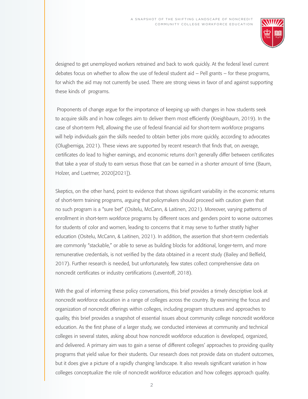

designed to get unemployed workers retrained and back to work quickly. At the federal level current debates focus on whether to allow the use of federal student aid – Pell grants – for these programs, for which the aid may not currently be used. There are strong views in favor of and against supporting these kinds of programs.

 Proponents of change argue for the importance of keeping up with changes in how students seek to acquire skills and in how colleges aim to deliver them most efficiently (Kreighbaum, 2019). In the case of short-term Pell, allowing the use of federal financial aid for short-term workforce programs will help individuals gain the skills needed to obtain better jobs more quickly, according to advocates (Olugbemiga, 2021). These views are supported by recent research that finds that, on average, certificates do lead to higher earnings, and economic returns don't generally differ between certificates that take a year of study to earn versus those that can be earned in a shorter amount of time (Baum, Holzer, and Luetmer, 2020[2021]).

Skeptics, on the other hand, point to evidence that shows significant variability in the economic returns of short-term training programs, arguing that policymakers should proceed with caution given that no such program is a "sure bet" (Ositelu, McCann, & Laitinen, 2021). Moreover, varying patterns of enrollment in short-term workforce programs by different races and genders point to worse outcomes for students of color and women, leading to concerns that it may serve to further stratify higher education (Ositelu, McCann, & Laitinen, 2021). In addition, the assertion that short-term credentials are commonly "stackable," or able to serve as building blocks for additional, longer-term, and more remunerative credentials, is not verified by the data obtained in a recent study (Bailey and Belfield, 2017). Further research is needed, but unfortunately, few states collect comprehensive data on noncredit certificates or industry certifications (Leventoff, 2018).

With the goal of informing these policy conversations, this brief provides a timely descriptive look at noncredit workforce education in a range of colleges across the country. By examining the focus and organization of noncredit offerings within colleges, including program structures and approaches to quality, this brief provides a snapshot of essential issues about community college noncredit workforce education. As the first phase of a larger study, we conducted interviews at community and technical colleges in several states, asking about how noncredit workforce education is developed, organized, and delivered. A primary aim was to gain a sense of different colleges' approaches to providing quality programs that yield value for their students. Our research does not provide data on student outcomes, but it does give a picture of a rapidly changing landscape. It also reveals significant variation in how colleges conceptualize the role of noncredit workforce education and how colleges approach quality.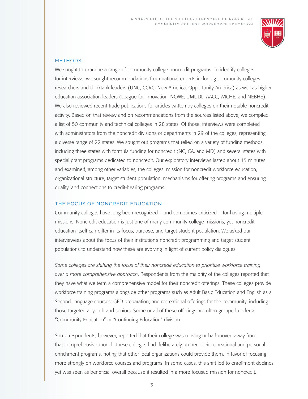

#### METHODS

We sought to examine a range of community college noncredit programs. To identify colleges for interviews, we sought recommendations from national experts including community colleges researchers and thinktank leaders (UNC, CCRC, New America, Opportunity America) as well as higher education association leaders (League for Innovation, NCWE, UMUDL, AACC, WICHE, and NEBHE). We also reviewed recent trade publications for articles written by colleges on their notable noncredit activity. Based on that review and on recommendations from the sources listed above, we compiled a list of 50 community and technical colleges in 28 states. Of those, interviews were completed with administrators from the noncredit divisions or departments in 29 of the colleges, representing a diverse range of 22 states. We sought out programs that relied on a variety of funding methods, including three states with formula funding for noncredit (NC, CA, and MD) and several states with special grant programs dedicated to noncredit. Our exploratory interviews lasted about 45 minutes and examined, among other variables, the colleges' mission for noncredit workforce education, organizational structure, target student population, mechanisms for offering programs and ensuring quality, and connections to credit-bearing programs.

#### THE FOCUS OF NONCREDIT EDUCATION

Community colleges have long been recognized – and sometimes criticized – for having multiple missions. Noncredit education is just one of many community college missions, yet noncredit education itself can differ in its focus, purpose, and target student population. We asked our interviewees about the focus of their institution's noncredit programming and target student populations to understand how these are evolving in light of current policy dialogues.

*Some colleges are shifting the focus of their noncredit education to prioritize workforce training over a more comprehensive approach*. Respondents from the majority of the colleges reported that they have what we term a comprehensive model for their noncredit offerings. These colleges provide workforce training programs alongside other programs such as Adult Basic Education and English as a Second Language courses; GED preparation; and recreational offerings for the community, including those targeted at youth and seniors. Some or all of these offerings are often grouped under a "Community Education" or "Continuing Education" division.

Some respondents, however, reported that their college was moving or had moved away from that comprehensive model. These colleges had deliberately pruned their recreational and personal enrichment programs, noting that other local organizations could provide them, in favor of focusing more strongly on workforce courses and programs. In some cases, this shift led to enrollment declines yet was seen as beneficial overall because it resulted in a more focused mission for noncredit.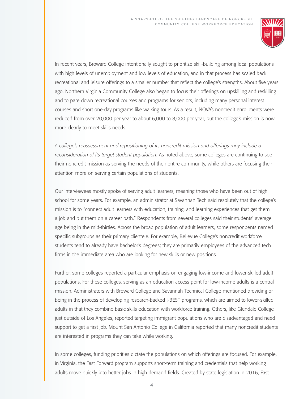

In recent years, Broward College intentionally sought to prioritize skill-building among local populations with high levels of unemployment and low levels of education, and in that process has scaled back recreational and leisure offerings to a smaller number that reflect the college's strengths. About five years ago, Northern Virginia Community College also began to focus their offerings on upskilling and reskilling and to pare down recreational courses and programs for seniors, including many personal interest courses and short one-day programs like walking tours. As a result, NOVA's noncredit enrollments were reduced from over 20,000 per year to about 6,000 to 8,000 per year, but the college's mission is now more clearly to meet skills needs.

*A college's reassessment and repositioning of its noncredit mission and offerings may include a reconsideration of its target student population*. As noted above, some colleges are continuing to see their noncredit mission as serving the needs of their entire community, while others are focusing their attention more on serving certain populations of students.

Our interviewees mostly spoke of serving adult learners, meaning those who have been out of high school for some years. For example, an administrator at Savannah Tech said resolutely that the college's mission is to "connect adult learners with education, training, and learning experiences that get them a job and put them on a career path." Respondents from several colleges said their students' average age being in the mid-thirties. Across the broad population of adult learners, some respondents named specific subgroups as their primary clientele. For example, Bellevue College's noncredit workforce students tend to already have bachelor's degrees; they are primarily employees of the advanced tech firms in the immediate area who are looking for new skills or new positions.

Further, some colleges reported a particular emphasis on engaging low-income and lower-skilled adult populations. For these colleges, serving as an education access point for low-income adults is a central mission. Administrators with Broward College and Savannah Technical College mentioned providing or being in the process of developing research-backed I-BEST programs, which are aimed to lower-skilled adults in that they combine basic skills education with workforce training. Others, like Glendale College just outside of Los Angeles, reported targeting immigrant populations who are disadvantaged and need support to get a first job. Mount San Antonio College in California reported that many noncredit students are interested in programs they can take while working.

In some colleges, funding priorities dictate the populations on which offerings are focused. For example, in Virginia, the Fast Forward program supports short-term training and credentials that help working adults move quickly into better jobs in high-demand fields. Created by state legislation in 2016, Fast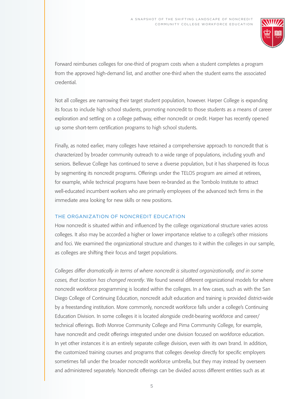

Forward reimburses colleges for one-third of program costs when a student completes a program from the approved high-demand list, and another one-third when the student earns the associated credential.

Not all colleges are narrowing their target student population, however. Harper College is expanding its focus to include high school students, promoting noncredit to those students as a means of career exploration and settling on a college pathway, either noncredit or credit. Harper has recently opened up some short-term certification programs to high school students.

Finally, as noted earlier, many colleges have retained a comprehensive approach to noncredit that is characterized by broader community outreach to a wide range of populations, including youth and seniors. Bellevue College has continued to serve a diverse population, but it has sharpened its focus by segmenting its noncredit programs. Offerings under the TELOS program are aimed at retirees, for example, while technical programs have been re-branded as the Tombolo Institute to attract well-educated incumbent workers who are primarily employees of the advanced tech firms in the immediate area looking for new skills or new positions.

#### THE ORGANIZATION OF NONCREDIT EDUCATION

How noncredit is situated within and influenced by the college organizational structure varies across colleges. It also may be accorded a higher or lower importance relative to a college's other missions and foci. We examined the organizational structure and changes to it within the colleges in our sample, as colleges are shifting their focus and target populations.

*Colleges differ dramatically in terms of where noncredit is situated organizationally, and in some cases, that location has changed recently*. We found several different organizational models for where noncredit workforce programming is located within the colleges. In a few cases, such as with the San Diego College of Continuing Education, noncredit adult education and training is provided district-wide by a freestanding institution. More commonly, noncredit workforce falls under a college's Continuing Education Division. In some colleges it is located alongside credit-bearing workforce and career/ technical offerings. Both Monroe Community College and Pima Community College, for example, have noncredit and credit offerings integrated under one division focused on workforce education. In yet other instances it is an entirely separate college division, even with its own brand. In addition, the customized training courses and programs that colleges develop directly for specific employers sometimes fall under the broader noncredit workforce umbrella, but they may instead by overseen and administered separately. Noncredit offerings can be divided across different entities such as at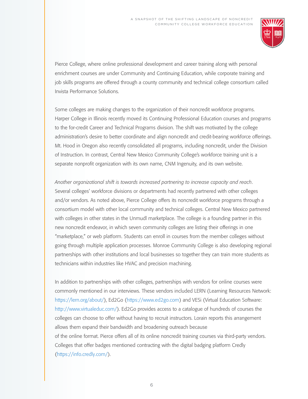

Pierce College, where online professional development and career training along with personal enrichment courses are under Community and Continuing Education, while corporate training and job skills programs are offered through a county community and technical college consortium called Invista Performance Solutions.

Some colleges are making changes to the organization of their noncredit workforce programs. Harper College in Illinois recently moved its Continuing Professional Education courses and programs to the for-credit Career and Technical Programs division. The shift was motivated by the college administration's desire to better coordinate and align noncredit and credit-bearing workforce offerings. Mt. Hood in Oregon also recently consolidated all programs, including noncredit, under the Division of Instruction. In contrast, Central New Mexico Community College's workforce training unit is a separate nonprofit organization with its own name, CNM Ingenuity, and its own website.

*Another organizational shift is towards increased partnering to increase capacity and reach*. Several colleges' workforce divisions or departments had recently partnered with other colleges and/or vendors. As noted above, Pierce College offers its noncredit workforce programs through a consortium model with other local community and technical colleges. Central New Mexico partnered with colleges in other states in the Unmudl marketplace. The college is a founding partner in this new noncredit endeavor, in which seven community colleges are listing their offerings in one "marketplace," or web platform. Students can enroll in courses from the member colleges without going through multiple application processes. Monroe Community College is also developing regional partnerships with other institutions and local businesses so together they can train more students as technicians within industries like HVAC and precision machining.

In addition to partnerships with other colleges, partnerships with vendors for online courses were commonly mentioned in our interviews. These vendors included LERN (Learning Resources Network: <https://lern.org/about/>), Ed2Go [\(https://www.ed2go.com](https://www.ed2go.com)) and VESi (Virtual Education Software: <http://www.virtualeduc.com/>). Ed2Go provides access to a catalogue of hundreds of courses the colleges can choose to offer without having to recruit instructors. Lorain reports this arrangement allows them expand their bandwidth and broadening outreach because of the online format. Pierce offers all of its online noncredit training courses via third-party vendors. Colleges that offer badges mentioned contracting with the digital badging platform Credly [\(https://info.credly.com/](https://info.credly.com/)).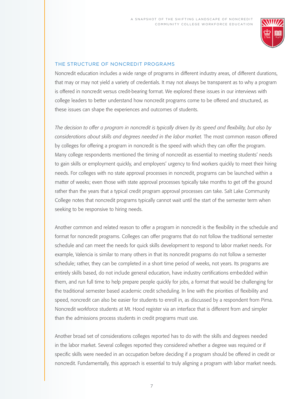

#### THE STRUCTURE OF NONCREDIT PROGRAMS

Noncredit education includes a wide range of programs in different industry areas, of different durations, that may or may not yield a variety of credentials. It may not always be transparent as to why a program is offered in noncredit versus credit-bearing format. We explored these issues in our interviews with college leaders to better understand how noncredit programs come to be offered and structured, as these issues can shape the experiences and outcomes of students.

*The decision to offer a program in noncredit is typically driven by its speed and flexibility, but also by considerations about skills and degrees needed in the labor market.* The most common reason offered by colleges for offering a program in noncredit is the speed with which they can offer the program. Many college respondents mentioned the timing of noncredit as essential to meeting students' needs to gain skills or employment quickly, and employers' urgency to find workers quickly to meet their hiring needs. For colleges with no state approval processes in noncredit, programs can be launched within a matter of weeks; even those with state approval processes typically take months to get off the ground rather than the years that a typical credit program approval processes can take. Salt Lake Community College notes that noncredit programs typically cannot wait until the start of the semester term when seeking to be responsive to hiring needs.

Another common and related reason to offer a program in noncredit is the flexibility in the schedule and format for noncredit programs. Colleges can offer programs that do not follow the traditional semester schedule and can meet the needs for quick skills development to respond to labor market needs. For example, Valencia is similar to many others in that its noncredit programs do not follow a semester schedule; rather, they can be completed in a short time period of weeks, not years. Its programs are entirely skills based, do not include general education, have industry certifications embedded within them, and run full time to help prepare people quickly for jobs, a format that would be challenging for the traditional semester based academic credit scheduling. In line with the priorities of flexibility and speed, noncredit can also be easier for students to enroll in, as discussed by a respondent from Pima. Noncredit workforce students at Mt. Hood register via an interface that is different from and simpler than the admissions process students in credit programs must use.

Another broad set of considerations colleges reported has to do with the skills and degrees needed in the labor market. Several colleges reported they considered whether a degree was required or if specific skills were needed in an occupation before deciding if a program should be offered in credit or noncredit. Fundamentally, this approach is essential to truly aligning a program with labor market needs.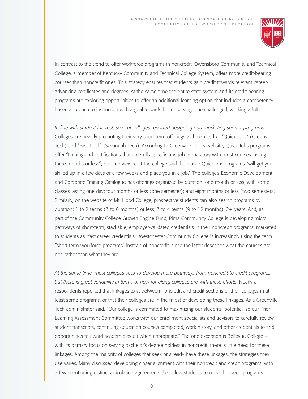

In contrast to the trend to offer workforce programs in noncredit, Owensboro Community and Technical College, a member of Kentucky Community and Technical College System, offers more credit-bearing courses than noncredit ones. This strategy ensures that students gain credit towards relevant careeradvancing certificates and degrees. At the same time the entire state system and its credit-bearing programs are exploring opportunities to offer an additional learning option that includes a competencybased approach to instruction with a goal towards better serving time-challenged, working adults.

*In line with student interest, several colleges reported designing and marketing shorter programs.* Colleges are heavily promoting their very short-term offerings with names like "Quick Jobs" (Greenville Tech) and "Fast Track" (Savannah Tech). According to Greenville Tech's website, Quick Jobs programs offer "training and certifications that are skills specific and job preparatory with most courses lasting three months or less"; our interviewee at the college said that some QuickJobs programs "will get you skilled up in a few days or a few weeks and place you in a job." The college's Economic Development and Corporate Training Catalogue has offerings organized by duration: one month or less, with some classes lasting one day; four months or less (one semester); and eight months or less (two semesters). Similarly, on the website of Mt. Hood College, prospective students can also search programs by duration: 1 to 2 terms (3 to 6 months) or less; 3 to 4 terms (9 to 12 months); 2+ years. And, as part of the Community College Growth Engine Fund, Pima Community College is developing micro pathways of short-term, stackable, employer-validated credentials in their noncredit programs, marketed to students as "fast career credentials." Westchester Community College is increasingly using the term "short-term workforce programs" instead of noncredit, since the latter describes what the courses are not, rather than what they are.

*At the same time, most colleges seek to develop more pathways from noncredit to credit programs, but there is great variability in terms of how far along colleges are with these efforts*. Nearly all respondents reported that linkages exist between noncredit and credit sections of their colleges in at least some programs, or that their colleges are in the midst of developing these linkages. As a Greenville Tech administrator said, "Our college is committed to maximizing our students' potential, so our Prior Learning Assessment Committee works with our enrollment specialists and advisors to carefully review student transcripts, continuing education courses completed, work history, and other credentials to find opportunities to award academic credit when appropriate." The one exception is Bellevue College – with its primary focus on serving bachelor's degree holders in noncredit, there is little need for these linkages. Among the majority of colleges that seek or already have these linkages, the strategies they use varies. Many discussed developing closer alignment with their noncredit and credit programs, with a few mentioning distinct articulation agreements that allow students to move between programs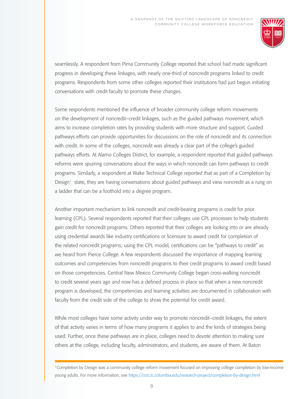

seamlessly. A respondent from Pima Community College reported that school had made significant progress in developing these linkages, with nearly one-third of noncredit programs linked to credit programs. Respondents from some other colleges reported their institutions had just begun initiating conversations with credit faculty to promote these changes.

Some respondents mentioned the influence of broader community college reform movements on the development of noncredit–credit linkages, such as the guided pathways movement, which aims to increase completion rates by providing students with more structure and support. Guided pathways efforts can provide opportunities for discussions on the role of noncredit and its connection with credit. In some of the colleges, noncredit was already a clear part of the college's guided pathways efforts. At Alamo Colleges District, for example, a respondent reported that guided pathways reforms were spurring conversations about the ways in which noncredit can form pathways to credit programs. Similarly, a respondent at Wake Technical College reported that as part of a Completion by Design<sup>1</sup> state, they are having conversations about guided pathways and view noncredit as a rung on a ladder that can be a foothold into a degree program.

Another important mechanism to link noncredit and credit-bearing programs is credit for prior learning (CPL). Several respondents reported that their colleges use CPL processes to help students gain credit for noncredit programs. Others reported that their colleges are looking into or are already using credential awards like industry certifications or licensure to award credit for completion of the related noncredit programs; using the CPL model, certifications can be "pathways to credit" as we heard from Pierce College. A few respondents discussed the importance of mapping learning outcomes and competencies from noncredit programs to their credit programs to award credit based on those competencies. Central New Mexico Community College began cross-walking noncredit to credit several years ago and now has a defined process in place so that when a new noncredit program is developed, the competencies and learning activities are documented in collaboration with faculty from the credit side of the college to show the potential for credit award.

While most colleges have some activity under way to promote noncredit–credit linkages, the extent of that activity varies in terms of how many programs it applies to and the kinds of strategies being used. Further, once these pathways are in place, colleges need to devote attention to making sure others at the college, including faculty, administrators, and students, are aware of them. At Baton

<sup>1</sup>Completion by Design was a community college reform movement focused on improving college completion by low-income young adults. For more information, see <https://ccrc.tc.columbia.edu/research-project/completion-by-design.html>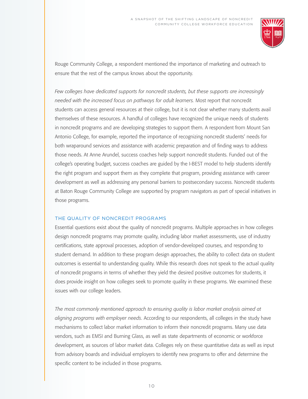

Rouge Community College, a respondent mentioned the importance of marketing and outreach to ensure that the rest of the campus knows about the opportunity.

*Few colleges have dedicated supports for noncredit students, but these supports are increasingly needed with the increased focus on pathways for adult learners.* Most report that noncredit students can access general resources at their college, but it is not clear whether many students avail themselves of these resources. A handful of colleges have recognized the unique needs of students in noncredit programs and are developing strategies to support them. A respondent from Mount San Antonio College, for example, reported the importance of recognizing noncredit students' needs for both wraparound services and assistance with academic preparation and of finding ways to address those needs. At Anne Arundel, success coaches help support noncredit students. Funded out of the college's operating budget, success coaches are guided by the I-BEST model to help students identify the right program and support them as they complete that program, providing assistance with career development as well as addressing any personal barriers to postsecondary success. Noncredit students at Baton Rouge Community College are supported by program navigators as part of special initiatives in those programs.

#### THE QUALITY OF NONCREDIT PROGRAMS

Essential questions exist about the quality of noncredit programs. Multiple approaches in how colleges design noncredit programs may promote quality, including labor market assessments, use of industry certifications, state approval processes, adoption of vendor-developed courses, and responding to student demand. In addition to these program design approaches, the ability to collect data on student outcomes is essential to understanding quality. While this research does not speak to the actual quality of noncredit programs in terms of whether they yield the desired positive outcomes for students, it does provide insight on how colleges seek to promote quality in these programs. We examined these issues with our college leaders.

*The most commonly mentioned approach to ensuring quality is labor market analysis aimed at aligning programs with employer needs*. According to our respondents, all colleges in the study have mechanisms to collect labor market information to inform their noncredit programs. Many use data vendors, such as EMSI and Burning Glass, as well as state departments of economic or workforce development, as sources of labor market data. Colleges rely on these quantitative data as well as input from advisory boards and individual employers to identify new programs to offer and determine the specific content to be included in those programs.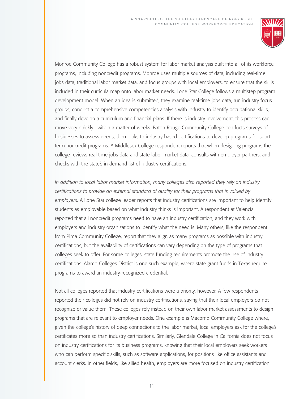

Monroe Community College has a robust system for labor market analysis built into all of its workforce programs, including noncredit programs. Monroe uses multiple sources of data, including real-time jobs data, traditional labor market data, and focus groups with local employers, to ensure that the skills included in their curricula map onto labor market needs. Lone Star College follows a multistep program development model: When an idea is submitted, they examine real-time jobs data, run industry focus groups, conduct a comprehensive competencies analysis with industry to identify occupational skills, and finally develop a curriculum and financial plans. If there is industry involvement, this process can move very quickly—within a matter of weeks. Baton Rouge Community College conducts surveys of businesses to assess needs, then looks to industry-based certifications to develop programs for shortterm noncredit programs. A Middlesex College respondent reports that when designing programs the college reviews real-time jobs data and state labor market data, consults with employer partners, and checks with the state's in-demand list of industry certifications.

*In addition to local labor market information, many colleges also reported they rely on industry certifications to provide an external standard of quality for their programs that is valued by employers.* A Lone Star college leader reports that industry certifications are important to help identify students as employable based on what industry thinks is important. A respondent at Valencia reported that all noncredit programs need to have an industry certification, and they work with employers and industry organizations to identify what the need is. Many others, like the respondent from Pima Community College, report that they align as many programs as possible with industry certifications, but the availability of certifications can vary depending on the type of programs that colleges seek to offer. For some colleges, state funding requirements promote the use of industry certifications. Alamo Colleges District is one such example, where state grant funds in Texas require programs to award an industry-recognized credential.

Not all colleges reported that industry certifications were a priority, however. A few respondents reported their colleges did not rely on industry certifications, saying that their local employers do not recognize or value them. These colleges rely instead on their own labor market assessments to design programs that are relevant to employer needs. One example is Macomb Community College where, given the college's history of deep connections to the labor market, local employers ask for the college's certificates more so than industry certifications. Similarly, Glendale College in California does not focus on industry certifications for its business programs, knowing that their local employers seek workers who can perform specific skills, such as software applications, for positions like office assistants and account clerks. In other fields, like allied health, employers are more focused on industry certification.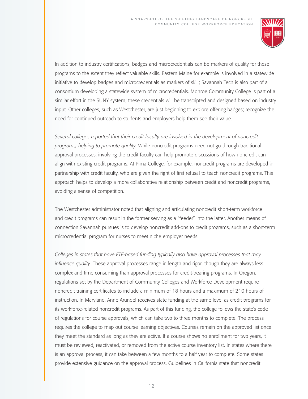

In addition to industry certifications, badges and microcredentials can be markers of quality for these programs to the extent they reflect valuable skills. Eastern Maine for example is involved in a statewide initiative to develop badges and microcredentials as markers of skill; Savannah Tech is also part of a consortium developing a statewide system of microcredentials. Monroe Community College is part of a similar effort in the SUNY system; these credentials will be transcripted and designed based on industry input. Other colleges, such as Westchester, are just beginning to explore offering badges; recognize the need for continued outreach to students and employers help them see their value.

*Several colleges reported that their credit faculty are involved in the development of noncredit programs, helping to promote quality.* While noncredit programs need not go through traditional approval processes, involving the credit faculty can help promote discussions of how noncredit can align with existing credit programs. At Pima College, for example, noncredit programs are developed in partnership with credit faculty, who are given the right of first refusal to teach noncredit programs. This approach helps to develop a more collaborative relationship between credit and noncredit programs, avoiding a sense of competition.

The Westchester administrator noted that aligning and articulating noncredit short-term workforce and credit programs can result in the former serving as a "feeder" into the latter. Another means of connection Savannah pursues is to develop noncredit add-ons to credit programs, such as a short-term microcredential program for nurses to meet niche employer needs.

*Colleges in states that have FTE-based funding typically also have approval processes that may influence quality.* These approval processes range in length and rigor, though they are always less complex and time consuming than approval processes for credit-bearing programs. In Oregon, regulations set by the Department of Community Colleges and Workforce Development require noncredit training certificates to include a minimum of 18 hours and a maximum of 210 hours of instruction. In Maryland, Anne Arundel receives state funding at the same level as credit programs for its workforce-related noncredit programs. As part of this funding, the college follows the state's code of regulations for course approvals, which can take two to three months to complete. The process requires the college to map out course learning objectives. Courses remain on the approved list once they meet the standard as long as they are active. If a course shows no enrollment for two years, it must be reviewed, reactivated, or removed from the active course inventory list. In states where there is an approval process, it can take between a few months to a half year to complete. Some states provide extensive guidance on the approval process. Guidelines in California state that noncredit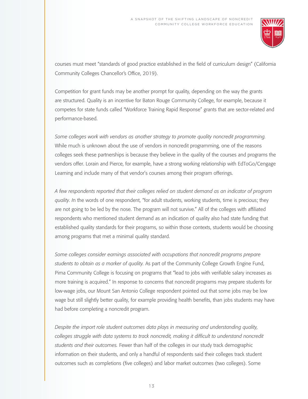

courses must meet "standards of good practice established in the field of curriculum design" (California Community Colleges Chancellor's Office, 2019).

Competition for grant funds may be another prompt for quality, depending on the way the grants are structured. Quality is an incentive for Baton Rouge Community College, for example, because it competes for state funds called "Workforce Training Rapid Response" grants that are sector-related and performance-based.

*Some colleges work with vendors as another strategy to promote quality noncredit programming.*  While much is unknown about the use of vendors in noncredit programming, one of the reasons colleges seek these partnerships is because they believe in the quality of the courses and programs the vendors offer. Lorain and Pierce, for example, have a strong working relationship with EdToGo/Cengage Learning and include many of that vendor's courses among their program offerings.

*A few respondents reported that their colleges relied on student demand as an indicator of program quality. I*n the words of one respondent, "for adult students, working students, time is precious; they are not going to be led by the nose. The program will not survive." All of the colleges with affiliated respondents who mentioned student demand as an indication of quality also had state funding that established quality standards for their programs, so within those contexts, students would be choosing among programs that met a minimal quality standard.

*Some colleges consider earnings associated with occupations that noncredit programs prepare students to obtain as a marker of quality.* As part of the Community College Growth Engine Fund, Pima Community College is focusing on programs that "lead to jobs with verifiable salary increases as more training is acquired." In response to concerns that noncredit programs may prepare students for low-wage jobs, our Mount San Antonio College respondent pointed out that some jobs may be low wage but still slightly better quality, for example providing health benefits, than jobs students may have had before completing a noncredit program.

*Despite the import role student outcomes data plays in measuring and understanding quality, colleges struggle with data systems to track noncredit, making it difficult to understand noncredit students and their outcomes.* Fewer than half of the colleges in our study track demographic information on their students, and only a handful of respondents said their colleges track student outcomes such as completions (five colleges) and labor market outcomes (two colleges). Some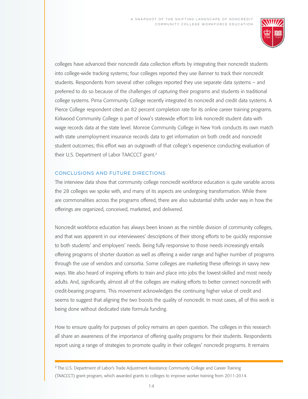

colleges have advanced their noncredit data collection efforts by integrating their noncredit students into college-wide tracking systems; four colleges reported they use Banner to track their noncredit students. Respondents from several other colleges reported they use separate data systems – and preferred to do so because of the challenges of capturing their programs and students in traditional college systems. Pima Community College recently integrated its noncredit and credit data systems. A Pierce College respondent cited an 82 percent completion rate for its online career training programs. Kirkwood Community College is part of Iowa's statewide effort to link noncredit student data with wage records data at the state level. Monroe Community College in New York conducts its own match with state unemployment insurance records data to get information on both credit and noncredit student outcomes; this effort was an outgrowth of that college's experience conducting evaluation of their U.S. Department of Labor TAACCCT grant.<sup>2</sup>

#### CONCLUSIONS AND FUTURE DIRECTIONS

The interview data show that community college noncredit workforce education is quite variable across the 28 colleges we spoke with, and many of its aspects are undergoing transformation. While there are commonalities across the programs offered, there are also substantial shifts under way in how the offerings are organized, conceived, marketed, and delivered.

Noncredit workforce education has always been known as the nimble division of community colleges, and that was apparent in our interviewees' descriptions of their strong efforts to be quickly responsive to both students' and employers' needs. Being fully responsive to those needs increasingly entails offering programs of shorter duration as well as offering a wider range and higher number of programs through the use of vendors and consortia. Some colleges are marketing these offerings in savvy new ways. We also heard of inspiring efforts to train and place into jobs the lowest-skilled and most needy adults. And, significantly, almost all of the colleges are making efforts to better connect noncredit with credit-bearing programs. This movement acknowledges the continuing higher value of credit and seems to suggest that aligning the two boosts the quality of noncredit. In most cases, all of this work is being done without dedicated state formula funding.

How to ensure quality for purposes of policy remains an open question. The colleges in this research all share an awareness of the importance of offering quality programs for their students. Respondents report using a range of strategies to promote quality in their colleges' noncredit programs. It remains

<sup>&</sup>lt;sup>2</sup> The U.S. Department of Labor's Trade Adjustment Assistance Community College and Career Training (TAACCCT) grant program, which awarded grants to colleges to improve worker training from 2011-2014.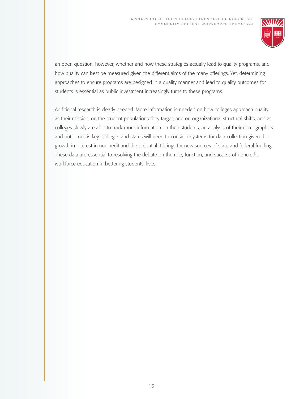

an open question, however, whether and how these strategies actually lead to quality programs, and how quality can best be measured given the different aims of the many offerings. Yet, determining approaches to ensure programs are designed in a quality manner and lead to quality outcomes for students is essential as public investment increasingly turns to these programs.

Additional research is clearly needed. More information is needed on how colleges approach quality as their mission, on the student populations they target, and on organizational structural shifts, and as colleges slowly are able to track more information on their students, an analysis of their demographics and outcomes is key. Colleges and states will need to consider systems for data collection given the growth in interest in noncredit and the potential it brings for new sources of state and federal funding. These data are essential to resolving the debate on the role, function, and success of noncredit workforce education in bettering students' lives.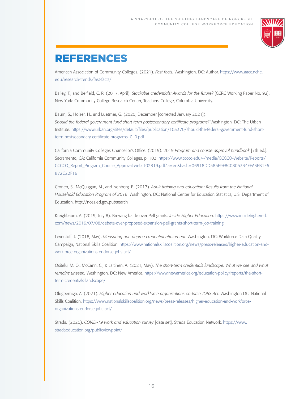

### REFERENCES

American Association of Community Colleges. (2021). *Fast facts.* Washington, DC: Author. https://www.aacc.nche. edu/research-trends/fast-facts/

Bailey, T., and Belfield, C. R. (2017, April). *Stackable credentials: Awards for the future?* [CCRC Working Paper No. 92]. New York: Community College Research Center, Teachers College, Columbia University.

Baum, S., Holzer, H., and Luetmer, G. (2020, December [corrected January 2021]). *Should the federal government fund short-term postsecondary certificate programs?* Washington, DC: The Urban Institute. https://www.urban.org/sites/default/files/publication/103370/should-the-federal-government-fund-shortterm-postsecondary-certificate-programs\_0\_0.pdf

California Community Colleges Chancellor's Office. (2019). 2019 *Program and course approval handbook* [7th ed.]. Sacramento, CA: California Community Colleges. p. 103. https://www.cccco.edu/-/media/CCCCO-Website/Reports/ CCCCO\_Report\_Program\_Course\_Approval-web-102819.pdf?la=en&hash=06918DD585E9F8C0805334FEA3EB1E6 872C22F16

Cronen, S., McQuiggan, M., and Isenberg, E. (2017). *Adult training and education: Results from the National Household Education Program of 2016*. Washington, DC: National Center for Education Statistics, U.S. Department of Education. http://nces.ed.gov.pubsearch

Kreighbaum, A. (2019, July 8). Brewing battle over Pell grants. *Inside Higher Education*. https://www.insidehighered. com/news/2019/07/08/debate-over-proposed-expansion-pell-grants-short-term-job-training

Leventoff, J. (2018, May). *Measuring non-degree credential attainment*. Washington, DC: Workforce Data Quality Campaign, National Skills Coalition. https://www.nationalskillscoalition.org/news/press-releases/higher-education-andworkforce-organizations-endorse-jobs-act/

Ositelu, M. O., McCann, C., & Laitinen, A. (2021, May). *The short-term credentials landscape: What we see and what remains unseen.* Washington, DC: New America. https://www.newamerica.org/education-policy/reports/the-shortterm-credentials-landscape/

Olugbemiga, A. (2021). *Higher education and workforce organizations endorse JOBS Act*. Washington DC, National Skills Coalition. https://www.nationalskillscoalition.org/news/press-releases/higher-education-and-workforceorganizations-endorse-jobs-act/

Strada. (2020). *COVID-19 work and education survey* [data set]. Strada Education Network. https://www. stradaeducation.org/publicviewpoint/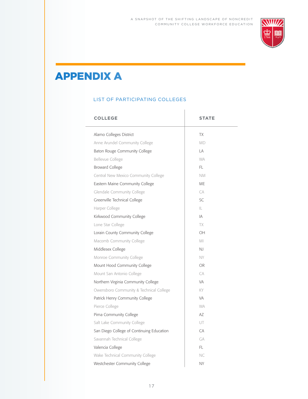

## APPENDIX A

#### LIST OF PARTICIPATING COLLEGES

| <b>COLLEGE</b>                            | <b>STATE</b> |
|-------------------------------------------|--------------|
| Alamo Colleges District                   | <b>TX</b>    |
| Anne Arundel Community College            | MD           |
| Baton Rouge Community College             | LA           |
| Bellevue College                          | <b>WA</b>    |
| <b>Broward College</b>                    | FL           |
| Central New Mexico Community College      | <b>NM</b>    |
| Eastern Maine Community College           | ME           |
| <b>Glendale Community College</b>         | CA           |
| Greenville Technical College              | SC.          |
| Harper College                            | $\mathbb{L}$ |
| Kirkwood Community College                | IA           |
| Lone Star College                         | TX           |
| Lorain County Community College           | OH           |
| Macomb Community College                  | M1           |
| Middlesex College                         | <b>NJ</b>    |
| Monroe Community College                  | NY           |
| Mount Hood Community College              | <b>OR</b>    |
| Mount San Antonio College                 | CA           |
| Northern Virginia Community College       | VA           |
| Owensboro Community & Technical College   | KY           |
| Patrick Henry Community College           | VA           |
| Pierce College                            | <b>WA</b>    |
| Pima Community College                    | A7           |
| Salt Lake Community College               | UT           |
| San Diego College of Continuing Education | CA           |
| Savannah Technical College                | GA           |
| Valencia College                          | FL           |
| Wake Technical Community College          | NC.          |
| Westchester Community College             | <b>NY</b>    |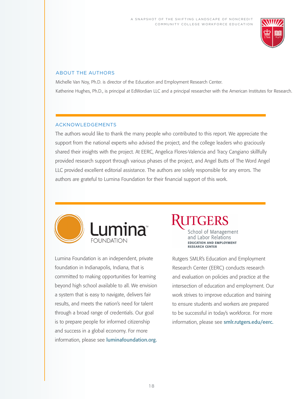

#### ABOUT THE AUTHORS

Michelle Van Noy, Ph.D. is director of the Education and Employment Research Center. Katherine Hughes, Ph.D., is principal at EdWordian LLC and a principal researcher with the American Institutes for Research.

#### ACKNOWLEDGEMENTS

The authors would like to thank the many people who contributed to this report. We appreciate the support from the national experts who advised the project, and the college leaders who graciously shared their insights with the project. At EERC, Angelica Flores-Valencia and Tracy Cangiano skillfully provided research support through various phases of the project, and Angel Butts of The Word Angel LLC provided excellent editorial assistance. The authors are solely responsible for any errors. The authors are grateful to Lumina Foundation for their financial support of this work.



Lumina Foundation is an independent, private foundation in Indianapolis, Indiana, that is committed to making opportunities for learning beyond high school available to all. We envision a system that is easy to navigate, delivers fair results, and meets the nation's need for talent through a broad range of credentials. Our goal is to prepare people for informed citizenship and success in a global economy. For more information, please see [luminafoundation.org.](http:// luminafoundation.org.)

School of Management and Labor Relations **EDUCATION AND EMPLOYMENT RESEARCH CENTER** 

Rutgers SMLR's Education and Employment Research Center (EERC) conducts research and evaluation on policies and practice at the intersection of education and employment. Our work strives to improve education and training to ensure students and workers are prepared to be successful in today's workforce. For more information, please see [smlr.rutgers.edu/eerc.](http:// smlr.rutgers.edu/eerc.)